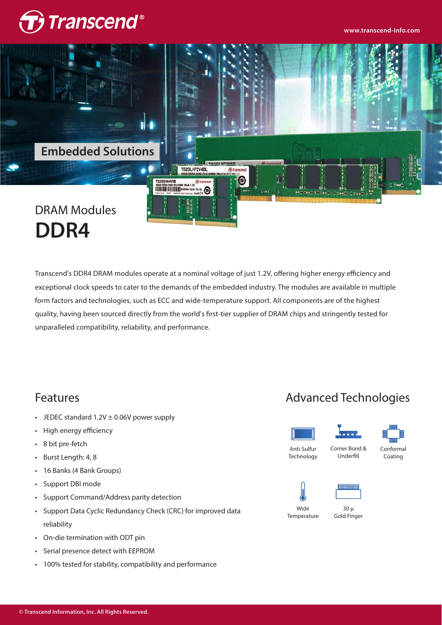



### Transcend's DDR4 DRAM modules operate at a nominal voltage of just 1.2V, offering higher energy efficiency and exceptional clock speeds to cater to the demands of the embedded industry. The modules are available in multiple form factors and technologies, such as ECC and wide-temperature support. All components are of the highest quality, having been sourced directly from the world's first-tier supplier of DRAM chips and stringently tested for unparalleled compatibility, reliability, and performance.

### Features

- JEDEC standard  $1.2V \pm 0.06V$  power supply •
- High energy efficiency •
- 8 bit pre-fetch •
- Burst Length: 4, 8 •
- 16 Banks (4 Bank Groups) •
- Support DBI mode •
- Support Command/Address parity detection •
- Support Data Cyclic Redundancy Check (CRC) for improved data reliability
- On-die termination with ODT pin •
- Serial presence detect with EEPROM •
- 100% tested for stability, compatibility and performance •

### Advanced Technologies







Anti-Sulfur **Technology** 

Corner Bond &



Underfill





Wide

30 µ Gold Finger **Temperature**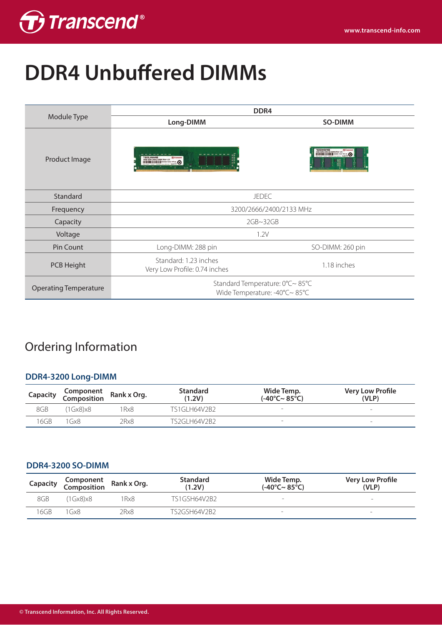

# **DDR4 Unbuffered DIMMs**

|                              | DDR <sub>4</sub>                                                       |                                              |  |  |
|------------------------------|------------------------------------------------------------------------|----------------------------------------------|--|--|
| Module Type                  | Long-DIMM                                                              | SO-DIMM                                      |  |  |
| Product Image                | 820LH64V6B<br>$\frac{1}{n}$<br><b>TO IVANCAULT</b><br>THE THE STATE OF | <b>TROSHOWER DELLA DELLE COMPANY COMPANY</b> |  |  |
| Standard                     | <b>JEDEC</b>                                                           |                                              |  |  |
| Frequency                    | 3200/2666/2400/2133 MHz                                                |                                              |  |  |
| Capacity                     | 2GB~32GB                                                               |                                              |  |  |
| Voltage                      | 1.2V                                                                   |                                              |  |  |
| Pin Count                    | Long-DIMM: 288 pin                                                     | SO-DIMM: 260 pin                             |  |  |
| PCB Height                   | Standard: 1.23 inches<br>Very Low Profile: 0.74 inches                 | 1.18 inches                                  |  |  |
| <b>Operating Temperature</b> | Standard Temperature: 0°C~85°C<br>Wide Temperature: -40°C~85°C         |                                              |  |  |

## Ordering Information

### **DDR4-3200 Long-DIMM**

| Capacity | Component<br>Composition Rank x Org. |      | <b>Standard</b><br>(1.2V) | Wide Temp.<br>$(-40^{\circ}$ C~ 85°C) | <b>Very Low Profile</b><br>(VLP) |
|----------|--------------------------------------|------|---------------------------|---------------------------------------|----------------------------------|
| 8GB      | (1Gx8)x8                             | Rx8  | TS1GLH64V2B2              |                                       | $\overline{\phantom{a}}$         |
| 16GB     | Gx8                                  | 2Rx8 | TS2GI H64V2B2             | -                                     | $\overline{\phantom{0}}$         |

#### **DDR4-3200 SO-DIMM**

| Capacity | Component<br>Composition Rank x Org. |      | <b>Standard</b><br>(1.2V) | Wide Temp.<br>$(-40^{\circ}$ C~ 85°C) | <b>Very Low Profile</b><br>(VLP) |
|----------|--------------------------------------|------|---------------------------|---------------------------------------|----------------------------------|
| 8GB      | (1Gx8)x8                             | Rx8  | TS1GSH64V2B2              | -                                     | -                                |
| 16GB     | l Gx8                                | 2Rx8 | TS2GSH64V2B2              | <b>1</b>                              | $\overline{\phantom{0}}$         |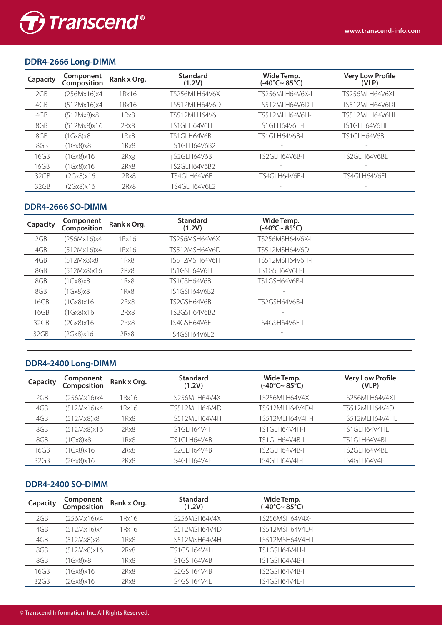

### **DDR4-2666 Long-DIMM**

| Capacity | Component<br>Composition | Rank x Org. | <b>Standard</b><br>(1.2V) | Wide Temp.<br>(-40°C~ 85°C) | <b>Very Low Profile</b><br>(VLP) |
|----------|--------------------------|-------------|---------------------------|-----------------------------|----------------------------------|
| 2GB      | (256Mx16)x4              | 1Rx16       | TS256MLH64V6X             | TS256MLH64V6X-I             | TS256MLH64V6XL                   |
| 4GB      | (512Mx16)x4              | 1Rx16       | TS512MLH64V6D             | TS512MLH64V6D-I             | TS512MLH64V6DL                   |
| 4GB      | (512Mx8)x8               | 1Rx8        | TS512MLH64V6H             | TS512MLH64V6H-I             | TS512MLH64V6HL                   |
| 8GB      | (512Mx8)x16              | 2Rx8        | TS1GLH64V6H               | TS1GLH64V6H-I               | TS1GLH64V6HL                     |
| 8GB      | (1Gx8)x8                 | 1Rx8        | TS1GLH64V6B               | TS1GLH64V6B-I               | TS1GLH64V6BL                     |
| 8GB      | (1Gx8)x8                 | 1 Rx8       | <b>TS1GLH64V6B2</b>       | $\overline{\phantom{m}}$    | $\overline{\phantom{0}}$         |
| 16GB     | (1Gx8)x16                | 2Rx8        | TS2GLH64V6B               | TS2GLH64V6B-I               | TS2GLH64V6BL                     |
| 16GB     | (1Gx8)x16                | 2Rx8        | TS2GLH64V6B2              |                             | $\overline{\phantom{0}}$         |
| 32GB     | (2Gx8)x16                | 2Rx8        | TS4GLH64V6E               | TS4GLH64V6E-I               | TS4GLH64V6EL                     |
| 32GB     | (2Gx8)x16                | 2Rx8        | TS4GLH64V6F2              |                             | $\overline{\phantom{0}}$         |

### **DDR4-2666 SO-DIMM**

| Capacity | Component<br>Composition | Rank x Org. | <b>Standard</b><br>(1.2V) | Wide Temp.<br>(-40°C~ 85°C) |  |
|----------|--------------------------|-------------|---------------------------|-----------------------------|--|
| 2GB      | (256Mx16)x4              | 1Rx16       | TS256MSH64V6X             | TS256MSH64V6X-I             |  |
| 4GB      | (512Mx16)x4              | 1Rx16       | TS512MSH64V6D             | TS512MSH64V6D-I             |  |
| 4GB      | (512Mx8)x8               | 1Rx8        | TS512MSH64V6H             | TS512MSH64V6H-I             |  |
| 8GB      | (512Mx8)x16              | 2Rx8        | TS1GSH64V6H               | TS1GSH64V6H-I               |  |
| 8GB      | (1Gx8)x8                 | 1Rx8        | TS1GSH64V6B               | <b>TS1GSH64V6B-I</b>        |  |
| 8GB      | (1Gx8)x8                 | 1Rx8        | TS1GSH64V6B2              | $\overline{\phantom{0}}$    |  |
| 16GB     | (1Gx8)x16                | 2Rx8        | TS2GSH64V6B               | TS2GSH64V6B-I               |  |
| 16GB     | (1Gx8)x16                | 2Rx8        | TS2GSH64V6B2              | -                           |  |
| 32GB     | (2Gx8)x16                | 2Rx8        | TS4GSH64V6E               | TS4GSH64V6E-I               |  |
| 32GB     | (2Gx8)x16                | 2Rx8        | TS4GSH64V6F2              | $\qquad \qquad -$           |  |
|          |                          |             |                           |                             |  |

#### **DDR4-2400 Long-DIMM**

| Capacity | Component<br>Composition | Rank x Org. | <b>Standard</b><br>(1.2V) | Wide Temp.<br>(-40°C~ 85°C) | <b>Very Low Profile</b><br>(VLP) |
|----------|--------------------------|-------------|---------------------------|-----------------------------|----------------------------------|
| 2GB      | (256Mx16)x4              | 1 Rx 16     | TS256MLH64V4X             | TS256MLH64V4X-I             | TS256MLH64V4XL                   |
| 4GB      | (512Mx16)x4              | 1 Rx 1 6    | TS512MLH64V4D             | TS512MLH64V4D-I             | TS512MLH64V4DL                   |
| 4GB      | (512Mx8)x8               | 1 Rx8       | TS512MLH64V4H             | TS512MLH64V4H-I             | TS512MLH64V4HL                   |
| 8GB      | (512Mx8)x16              | 2Rx8        | TS1GLH64V4H               | TS1GLH64V4H-L               | TS1GLH64V4HL                     |
| 8GB      | (1Gx8)x8                 | 1 Rx8       | TS1GLH64V4B               | TS1GLH64V4B-I               | TS1GLH64V4BL                     |
| 16GB     | (1Gx8)x16                | 2Rx8        | TS2GLH64V4B               | TS2GLH64V4B-I               | TS2GLH64V4BL                     |
| 32GB     | (2Gx8)x16                | 2Rx8        | TS4GLH64V4E               | TS4GLH64V4E-I               | TS4GLH64V4FL                     |

### **DDR4-2400 SO-DIMM**

| Capacity | Component<br>Composition | Rank x Org. | <b>Standard</b><br>(1.2V) | Wide Temp.<br>(-40°C~ 85°C) |  |
|----------|--------------------------|-------------|---------------------------|-----------------------------|--|
| 2GB      | (256Mx16)x4              | 1 Rx 16     | TS256MSH64V4X             | TS256MSH64V4X-I             |  |
| 4GB      | (512Mx16)x4              | 1 Rx 16     | TS512MSH64V4D             | TS512MSH64V4D-I             |  |
| 4GB      | (512Mx8)x8               | 1Rx8        | TS512MSH64V4H             | TS512MSH64V4H-L             |  |
| 8GB      | (512Mx8)x16              | 2Rx8        | TS1GSH64V4H               | TS1GSH64V4H-I               |  |
| 8GB      | (1Gx8)x8                 | 1Rx8        | TS1GSH64V4B               | TS1GSH64V4B-I               |  |
| 16GB     | (1Gx8)x16                | 2Rx8        | TS2GSH64V4B               | TS2GSH64V4B-I               |  |
| 32GB     | (2Gx8)x16                | 2Rx8        | TS4GSH64V4E               | TS4GSH64V4E-I               |  |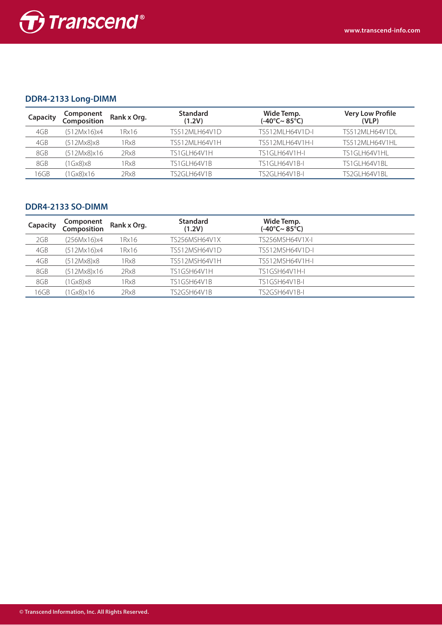

### **DDR4-2133 Long-DIMM**

| Capacity | <b>Component</b><br><b>Composition</b> | Rank x Org. | <b>Standard</b><br>(1.2V) | Wide Temp.<br>(-40°C~ 85°C) | <b>Very Low Profile</b><br>(VLP) |
|----------|----------------------------------------|-------------|---------------------------|-----------------------------|----------------------------------|
| 4GB      | (512Mx16)x4                            | 1 Rx 1 6    | TS512MLH64V1D             | TS512MLH64V1D-I             | TS512MLH64V1DL                   |
| 4GB      | (512Mx8)x8                             | 1 Rx8       | TS512MLH64V1H             | TS512MLH64V1H-I             | TS512MLH64V1HL                   |
| 8GB      | (512Mx8)x16                            | 2Rx8        | TS1GLH64V1H               | TS1GLH64V1H-L               | TS1GLH64V1HL                     |
| 8GB      | (1Gx8)x8                               | 1Rx8        | TS1GLH64V1B               | TS1GLH64V1B-I               | TS1GLH64V1BL                     |
| 16GB     | (1Gx8)x16                              | 2Rx8        | TS2GLH64V1B               | TS2GLH64V1B-I               | TS2GLH64V1BL                     |

#### **DDR4-2133 SO-DIMM**

| Capacity | Component<br>Composition | Rank x Org. | <b>Standard</b><br>(1.2V) | Wide Temp.<br>(-40°C~ 85°C) |  |
|----------|--------------------------|-------------|---------------------------|-----------------------------|--|
| 2GB      | (256Mx16)x4              | 1 Rx 16     | TS256MSH64V1X             | TS256MSH64V1X-I             |  |
| 4GB      | (512Mx16)x4              | 1 Rx 16     | TS512MSH64V1D             | TS512MSH64V1D-I             |  |
| 4GB      | (512Mx8)x8               | 1Rx8        | TS512MSH64V1H             | TS512MSH64V1H-L             |  |
| 8GB      | (512Mx8)x16              | 2Rx8        | TS1GSH64V1H               | TS1GSH64V1H-L               |  |
| 8GB      | (1Gx8)x8                 | 1Rx8        | TS1GSH64V1B               | TS1GSH64V1B-I               |  |
| 16GB     | (1Gx8)x16                | 2Rx8        | TS2GSH64V1B               | TS2GSH64V1B-I               |  |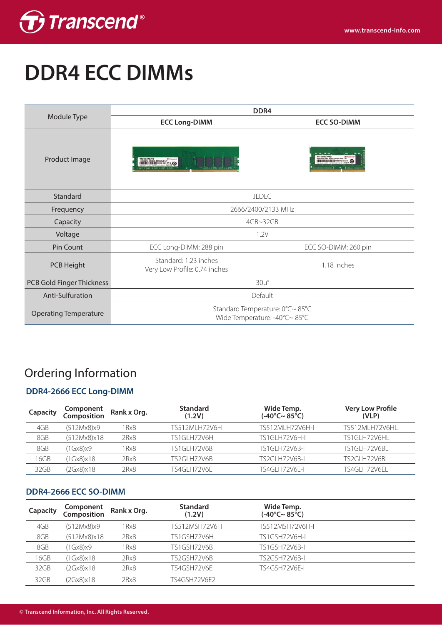

# **DDR4 ECC DIMMs**

|                              |                                                        | DDR <sub>4</sub>                                               |
|------------------------------|--------------------------------------------------------|----------------------------------------------------------------|
| Module Type                  | <b>ECC Long-DIMM</b>                                   | <b>ECC SO-DIMM</b>                                             |
| Product Image                | <b>TRIGUEIRANO</b>                                     |                                                                |
| Standard                     |                                                        | <b>JEDEC</b>                                                   |
| Frequency                    |                                                        | 2666/2400/2133 MHz                                             |
| Capacity                     |                                                        | 4GB~32GB                                                       |
| Voltage                      |                                                        | 1.2V                                                           |
| Pin Count                    | ECC Long-DIMM: 288 pin                                 | ECC SO-DIMM: 260 pin                                           |
| PCB Height                   | Standard: 1.23 inches<br>Very Low Profile: 0.74 inches | 1.18 inches                                                    |
| PCB Gold Finger Thickness    |                                                        | $30\mu''$                                                      |
| Anti-Sulfuration             |                                                        | Default                                                        |
| <b>Operating Temperature</b> |                                                        | Standard Temperature: 0°C~85°C<br>Wide Temperature: -40°C~85°C |

## Ordering Information

### **DDR4-2666 ECC Long-DIMM**

| Capacity | Component<br>Composition | Rank x Org. | <b>Standard</b><br>(1.2V) | Wide Temp.<br>$(-40^{\circ}$ C~ 85°C) | <b>Very Low Profile</b><br>(VLP) |
|----------|--------------------------|-------------|---------------------------|---------------------------------------|----------------------------------|
| 4GB      | (512Mx8)x9               | 1 Rx8       | TS512MLH72V6H             | TS512MLH72V6H-I                       | TS512MLH72V6HL                   |
| 8GB      | (512Mx8)x18              | 2Rx8        | TS1GLH72V6H               | TS1GLH72V6H-I                         | TS1GLH72V6HL                     |
| 8GB      | (1Gx8)x9                 | 1 Rx8       | TS1GLH72V6B               | <b>TS1GLH72V6B-I</b>                  | TS1GLH72V6BL                     |
| 16GB     | (1Gx8)x18                | 2Rx8        | TS2GLH72V6B               | TS2GLH72V6B-I                         | TS2GLH72V6BL                     |
| 32GB     | (2Gx8)x18                | 2Rx8        | TS4GLH72V6E               | TS4GLH72V6E-I                         | TS4GLH72V6EL                     |

### **DDR4-2666 ECC SO-DIMM**

| Capacity | Component<br>Composition | Rank x Org. | <b>Standard</b><br>(1.2V) | Wide Temp.<br>(-40°C~ 85°C) |  |
|----------|--------------------------|-------------|---------------------------|-----------------------------|--|
| 4GB      | (512Mx8)x9               | 1Rx8        | TS512MSH72V6H             | TS512MSH72V6H-I             |  |
| 8GB      | (512Mx8)x18              | 2Rx8        | TS1GSH72V6H               | TS1GSH72V6H-I               |  |
| 8GB      | (1Gx8)x9                 | 1Rx8        | TS1GSH72V6B               | <b>TS1GSH72V6B-L</b>        |  |
| 16GB     | (1Gx8)x18                | 2Rx8        | TS2GSH72V6B               | TS2GSH72V6B-I               |  |
| 32GB     | (2Gx8)x18                | 2Rx8        | TS4GSH72V6E               | TS4GSH72V6E-I               |  |
| 32GB     | (2Gx8)x18                | 2Rx8        | TS4GSH72V6F2              |                             |  |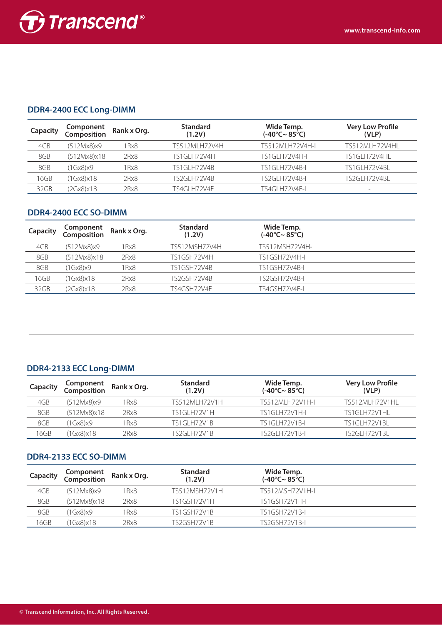

### **DDR4-2400 ECC Long-DIMM**

| Capacity | Component<br>Composition | Rank x Org. | <b>Standard</b><br>(1.2V) | Wide Temp.<br>(-40°C~ 85°C) | <b>Very Low Profile</b><br>(VLP) |
|----------|--------------------------|-------------|---------------------------|-----------------------------|----------------------------------|
| 4GB      | (512Mx8)x9               | 1Rx8        | TS512MLH72V4H             | TS512MLH72V4H-I             | TS512MLH72V4HL                   |
| 8GB      | (512Mx8)x18              | 2Rx8        | TS1GLH72V4H               | TS1GLH72V4H-I               | TS1GLH72V4HL                     |
| 8GB      | (1Gx8)x9                 | 1 Rx8       | TS1GLH72V4B               | TS1GLH72V4B-L               | TS1GLH72V4BL                     |
| 16GB     | (1Gx8)x18                | 2Rx8        | TS2GLH72V4B               | <b>TS2GLH72V4B-I</b>        | TS2GLH72V4BL                     |
| 32GB     | (2Gx8)x18                | 2Rx8        | TS4GLH72V4E               | TS4GLH72V4E-I               | $\overline{\phantom{m}}$         |

### **DDR4-2400 ECC SO-DIMM**

| Capacity | Component<br>Composition | Rank x Org. | <b>Standard</b><br>(1.2V) | Wide Temp.<br>$(-40^{\circ}$ C~ 85°C) |  |
|----------|--------------------------|-------------|---------------------------|---------------------------------------|--|
| 4GB      | (512Mx8)x9               | 1Rx8        | TS512MSH72V4H             | TS512MSH72V4H-I                       |  |
| 8GB      | (512Mx8)x18              | 2Rx8        | TS1GSH72V4H               | TS1GSH72V4H-L                         |  |
| 8GB      | (1Gx8)x9                 | 1 Rx8       | TS1GSH72V4B               | TS1GSH72V4B-I                         |  |
| 16GB     | (1Gx8)x18                | 2Rx8        | TS2GSH72V4B               | TS2GSH72V4B-I                         |  |
| 32GB     | (2Gx8)x18                | 2Rx8        | TS4GSH72V4F               | TS4GSH72V4E-I                         |  |

### **DDR4-2133 ECC Long-DIMM**

| Capacity | <b>Component</b><br>Composition | Rank x Org. | <b>Standard</b><br>(1.2V) | Wide Temp.<br>(-40°C~ 85°C) | <b>Very Low Profile</b><br>(VLP) |
|----------|---------------------------------|-------------|---------------------------|-----------------------------|----------------------------------|
| 4GB      | (512Mx8)x9                      | 1 Rx8       | TS512MLH72V1H             | TS512MLH72V1H-I             | TS512MLH72V1HL                   |
| 8GB      | (512Mx8)x18                     | 2Rx8        | TS1GLH72V1H               | TS1GLH72V1H-L               | TS1GLH72V1HL                     |
| 8GB      | (1Gx8)x9                        | I Rx8       | TS1GLH72V1B               | TS1GLH72V1B-I               | TS1GLH72V1BL                     |
| 16GB     | (1Gx8)x18                       | 2Rx8        | TS2GLH72V1B               | <b>TS2GLH72V1B-L</b>        | TS2GLH72V1BL                     |

### **DDR4-2133 ECC SO-DIMM**

| Capacity | <b>Component</b><br>Composition | Rank x Org. | <b>Standard</b><br>(1.2V) | Wide Temp.<br>$(-40^{\circ}$ C~ 85°C) |  |
|----------|---------------------------------|-------------|---------------------------|---------------------------------------|--|
| 4GB      | (512Mx8)x9                      | 1 Rx8       | TS512MSH72V1H             | TS512MSH72V1H-I                       |  |
| 8GB      | (512Mx8)x18                     | 2Rx8        | TS1GSH72V1H               | TS1GSH72V1H-I                         |  |
| 8GB      | (1Gx8)x9                        | 1Rx8        | TS1GSH72V1B               | TS1GSH72V1B-I                         |  |
| 16GB     | 1Gx8)x18                        | 2Rx8        | TS2GSH72V1B               | TS2GSH72V1B-I                         |  |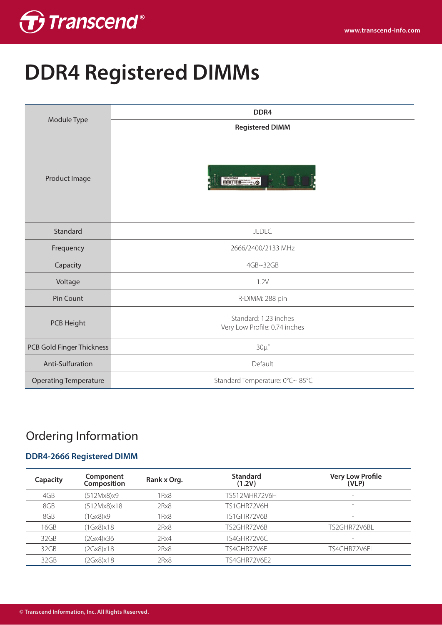

# **DDR4 Registered DIMMs**

|                              | DDR4                                                   |  |  |  |  |
|------------------------------|--------------------------------------------------------|--|--|--|--|
| Module Type                  | <b>Registered DIMM</b>                                 |  |  |  |  |
| Product Image                | <b>MANIFESTRO</b>                                      |  |  |  |  |
| Standard                     | <b>JEDEC</b>                                           |  |  |  |  |
| Frequency                    | 2666/2400/2133 MHz                                     |  |  |  |  |
| Capacity                     | 4GB~32GB                                               |  |  |  |  |
| Voltage                      | 1.2V                                                   |  |  |  |  |
| Pin Count                    | R-DIMM: 288 pin                                        |  |  |  |  |
| PCB Height                   | Standard: 1.23 inches<br>Very Low Profile: 0.74 inches |  |  |  |  |
| PCB Gold Finger Thickness    | $30\mu''$                                              |  |  |  |  |
| Anti-Sulfuration             | Default                                                |  |  |  |  |
| <b>Operating Temperature</b> | Standard Temperature: 0°C~85°C                         |  |  |  |  |

## Ordering Information

### **DDR4-2666 Registered DIMM**

| Capacity | Component<br>Composition | Rank x Org. | <b>Standard</b><br>(1.2V) | <b>Very Low Profile</b><br>(VLP) |
|----------|--------------------------|-------------|---------------------------|----------------------------------|
| 4GB      | (512Mx8)x9               | 1Rx8        | TS512MHR72V6H             | $\overline{\phantom{a}}$         |
| 8GB      | (512Mx8)x18              | 2Rx8        | TS1GHR72V6H               | $\overline{\phantom{a}}$         |
| 8GB      | (1Gx8)x9                 | 1Rx8        | TS1GHR72V6B               | $\overline{\phantom{a}}$         |
| 16GB     | (1Gx8)x18                | 2Rx8        | TS2GHR72V6B               | TS2GHR72V6BL                     |
| 32GB     | (2Gx4)x36                | 2Rx4        | TS4GHR72V6C               | $\overline{\phantom{0}}$         |
| 32GB     | (2Gx8)x18                | 2Rx8        | TS4GHR72V6E               | TS4GHR72V6EL                     |
| 32GB     | (2Gx8)x18                | 2Rx8        | TS4GHR72V6E2              |                                  |